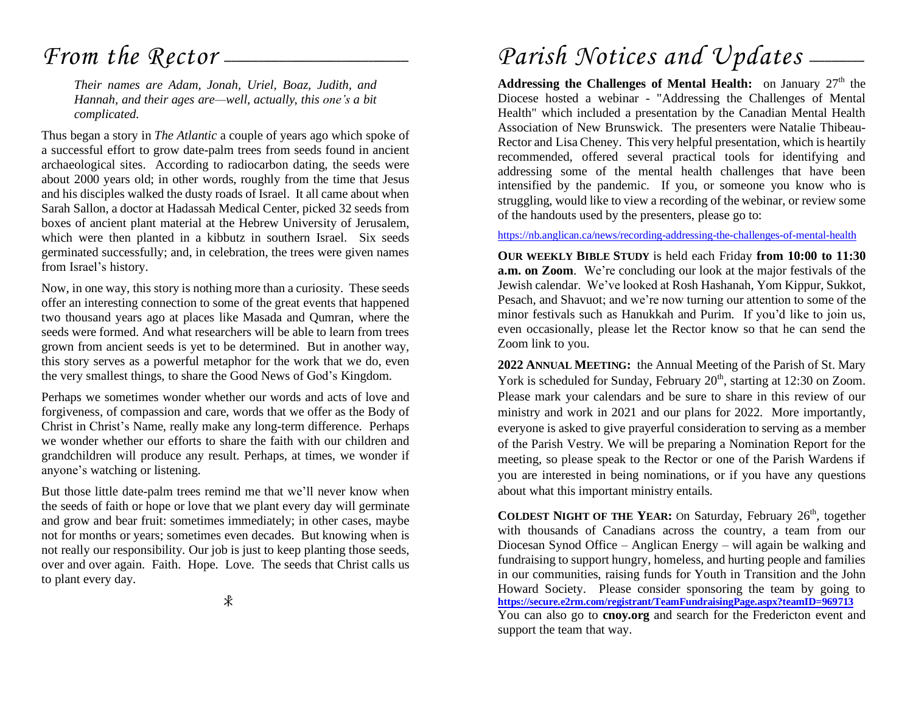## *From the Rector* -

*Their names are Adam, Jonah, Uriel, Boaz, Judith, and Hannah, and their ages are—well, actually, this one's a bit complicated.*

Thus began a story in *The Atlantic* a couple of years ago which spoke of a successful effort to grow date-palm trees from seeds found in ancient archaeological sites. According to radiocarbon dating, the seeds were about 2000 years old; in other words, roughly from the time that Jesus and his disciples walked the dusty roads of Israel. It all came about when Sarah Sallon, a doctor at Hadassah Medical Center, picked 32 seeds from boxes of ancient plant material at the Hebrew University of Jerusalem, which were then planted in a kibbutz in southern Israel. Six seeds germinated successfully; and, in celebration, the trees were given names from Israel's history.

Now, in one way, this story is nothing more than a curiosity. These seeds offer an interesting connection to some of the great events that happened two thousand years ago at places like Masada and Qumran, where the seeds were formed. And what researchers will be able to learn from trees grown from ancient seeds is yet to be determined. But in another way, this story serves as a powerful metaphor for the work that we do, even the very smallest things, to share the Good News of God's Kingdom.

Perhaps we sometimes wonder whether our words and acts of love and forgiveness, of compassion and care, words that we offer as the Body of Christ in Christ's Name, really make any long-term difference. Perhaps we wonder whether our efforts to share the faith with our children and grandchildren will produce any result. Perhaps, at times, we wonder if anyone's watching or listening.

But those little date-palm trees remind me that we'll never know when the seeds of faith or hope or love that we plant every day will germinate and grow and bear fruit: sometimes immediately; in other cases, maybe not for months or years; sometimes even decades. But knowing when is not really our responsibility. Our job is just to keep planting those seeds, over and over again. Faith. Hope. Love. The seeds that Christ calls us to plant every day.

#### $\ast$

## Parish Notices and Updates .

**Addressing the Challenges of Mental Health:** on January 27<sup>th</sup> the Diocese hosted a webinar - "Addressing the Challenges of Mental Health" which included a presentation by the Canadian Mental Health Association of New Brunswick. The presenters were Natalie Thibeau-Rector and Lisa Cheney. This very helpful presentation, which is heartily recommended, offered several practical tools for identifying and addressing some of the mental health challenges that have been intensified by the pandemic. If you, or someone you know who is struggling, would like to view a recording of the webinar, or review some of the handouts used by the presenters, please go to:

#### <https://nb.anglican.ca/news/recording-addressing-the-challenges-of-mental-health>

**OUR WEEKLY BIBLE STUDY** is held each Friday **from 10:00 to 11:30 a.m. on Zoom**. We're concluding our look at the major festivals of the Jewish calendar. We've looked at Rosh Hashanah, Yom Kippur, Sukkot, Pesach, and Shavuot; and we're now turning our attention to some of the minor festivals such as Hanukkah and Purim. If you'd like to join us, even occasionally, please let the Rector know so that he can send the Zoom link to you.

**2022 ANNUAL MEETING:** the Annual Meeting of the Parish of St. Mary York is scheduled for Sunday, February  $20<sup>th</sup>$ , starting at 12:30 on Zoom. Please mark your calendars and be sure to share in this review of our ministry and work in 2021 and our plans for 2022. More importantly, everyone is asked to give prayerful consideration to serving as a member of the Parish Vestry. We will be preparing a Nomination Report for the meeting, so please speak to the Rector or one of the Parish Wardens if you are interested in being nominations, or if you have any questions about what this important ministry entails.

**COLDEST NIGHT OF THE YEAR:** On Saturday, February 26th, together with thousands of Canadians across the country, a team from our Diocesan Synod Office – Anglican Energy – will again be walking and fundraising to support hungry, homeless, and hurting people and families in our communities, raising funds for Youth in Transition and the John Howard Society. Please consider sponsoring the team by going to **<https://secure.e2rm.com/registrant/TeamFundraisingPage.aspx?teamID=969713>** You can also go to **cnoy.org** and search for the Fredericton event and support the team that way.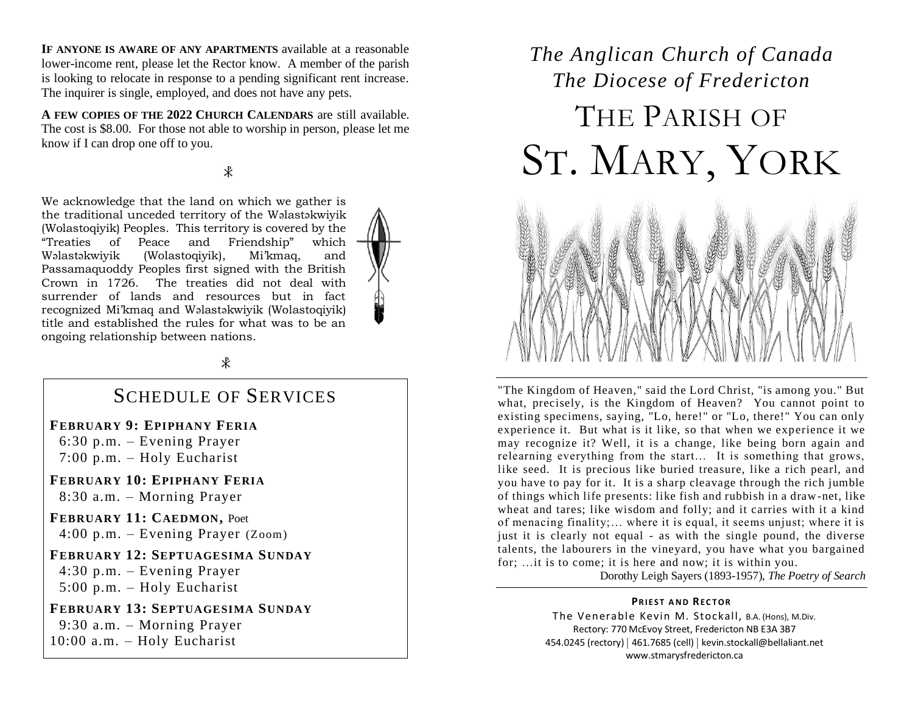**IF ANYONE IS AWARE OF ANY APARTMENTS** available at a reasonable lower-income rent, please let the Rector know. A member of the parish is looking to relocate in response to a pending significant rent increase. The inquirer is single, employed, and does not have any pets.

**A FEW COPIES OF THE 2022 CHURCH CALENDARS** are still available. The cost is \$8.00. For those not able to worship in person, please let me know if I can drop one off to you.

#### $\ast$

We acknowledge that the land on which we gather is the traditional unceded territory of the Wəlastəkwiyik (Wolastoqiyik) Peoples. This territory is covered by the "Treaties of Peace and Friendship" which Wəlastəkwiyik (Wolastoqiyik), Mi'kmaq, and Passamaquoddy Peoples first signed with the British Crown in 1726. The treaties did not deal with surrender of lands and resources but in fact recognized Mi'kmaq and Wəlastəkwiyik (Wolastoqiyik) title and established the rules for what was to be an ongoing relationship between nations.



#### SCHEDULE OF SERVICES

**FEBRUARY 9: EPIPHANY FERIA**

 6:30 p.m. – Evening Prayer 7:00 p.m. – Holy Eucharist

**FEBRUARY 10: EPIPHANY FERIA** 8:30 a.m. – Morning Prayer

**FEBRUARY 11: CAEDMON,** Poet 4:00 p.m. – Evening Prayer (Zoom)

**FEBRUARY 12: SEPTUAGESIMA SUNDAY**

 4:30 p.m. – Evening Prayer 5:00 p.m. – Holy Eucharist

**FEBRUARY 13: SEPTUAGESIMA SUNDAY** 9:30 a.m. – Morning Prayer 10:00 a.m. – Holy Eucharist

## *The Anglican Church of Canada The Diocese of Fredericton* THE PARISH OF ST. MARY, YORK



"The Kingdom of Heaven," said the Lord Christ, "is among you." But what, precisely, is the Kingdom of Heaven? You cannot point to existing specimens, saying, "Lo, here!" or "Lo, there!" You can only experience it. But what is it like, so that when we experience it we may recognize it? Well, it is a change, like being born again and relearning everything from the start… It is something that grows, like seed. It is precious like buried treasure, like a rich pearl, and you have to pay for it. It is a sharp cleavage through the rich jumble of things which life presents: like fish and rubbish in a draw-net, like wheat and tares; like wisdom and folly; and it carries with it a kind of menacing finality;… where it is equal, it seems unjust; where it is just it is clearly not equal - as with the single pound, the diverse talents, the labourers in the vineyard, you have what you bargained for; …it is to come; it is here and now; it is within you.

Dorothy Leigh Sayers (1893-1957), *The Poetry of Search*

#### **PRIEST AND RECTOR**

The Venerable Kevin M. Stockall, B.A. (Hons), M.Div. Rectory: 770 McEvoy Street, Fredericton NB E3A 3B7 454.0245 (rectory) | 461.7685 (cell) | kevin.stockall@bellaliant.net www.stmarysfredericton.ca